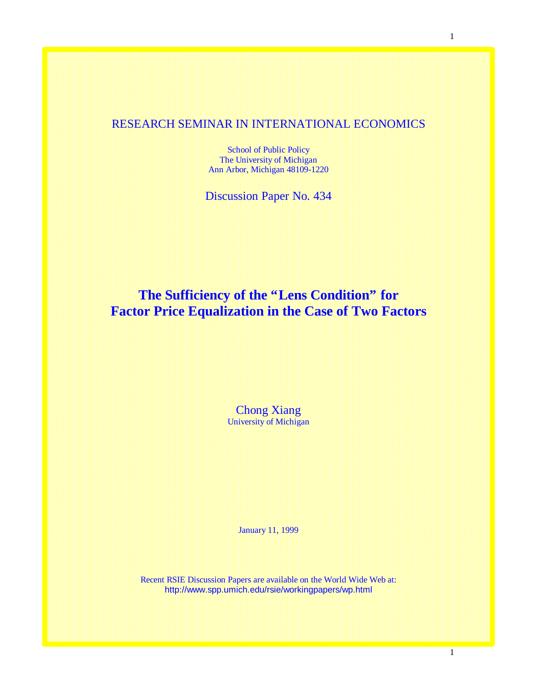## RESEARCH SEMINAR IN INTERNATIONAL ECONOMICS

School of Public Policy The University of Michigan Ann Arbor, Michigan 48109-1220

Discussion Paper No. 434

# **The Sufficiency of the "Lens Condition" for Factor Price Equalization in the Case of Two Factors**

Chong Xiang University of Michigan

January 11, 1999

Recent RSIE Discussion Papers are available on the World Wide Web at: http://www.spp.umich.edu/rsie/workingpapers/wp.html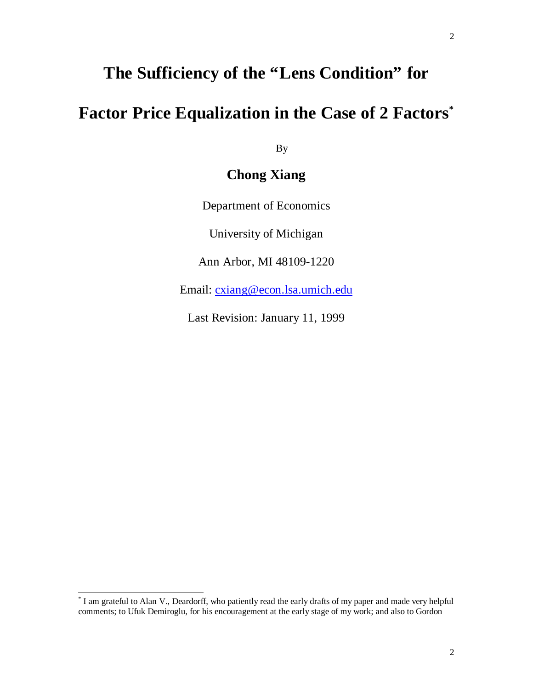# **The Sufficiency of the "Lens Condition" for**

# **Factor Price Equalization in the Case of 2 Factors\***

By

## **Chong Xiang**

Department of Economics

University of Michigan

Ann Arbor, MI 48109-1220

Email: cxiang@econ.lsa.umich.edu

Last Revision: January 11, 1999

l

<sup>\*</sup> I am grateful to Alan V., Deardorff, who patiently read the early drafts of my paper and made very helpful comments; to Ufuk Demiroglu, for his encouragement at the early stage of my work; and also to Gordon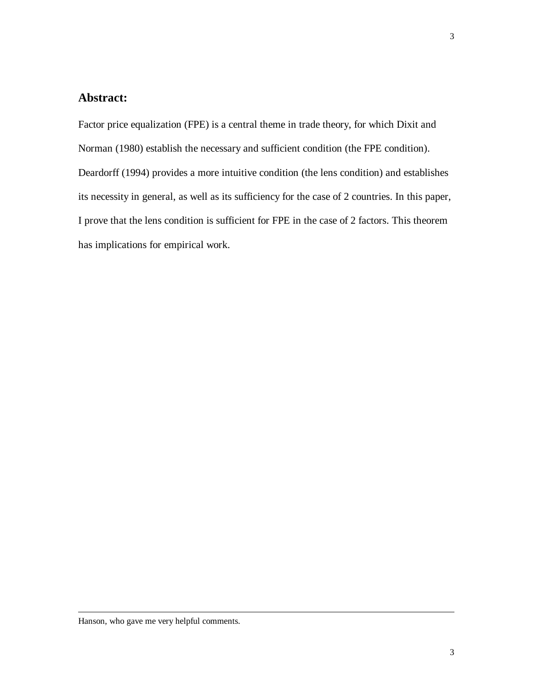## **Abstract:**

Factor price equalization (FPE) is a central theme in trade theory, for which Dixit and Norman (1980) establish the necessary and sufficient condition (the FPE condition). Deardorff (1994) provides a more intuitive condition (the lens condition) and establishes its necessity in general, as well as its sufficiency for the case of 2 countries. In this paper, I prove that the lens condition is sufficient for FPE in the case of 2 factors. This theorem has implications for empirical work.

l

Hanson, who gave me very helpful comments.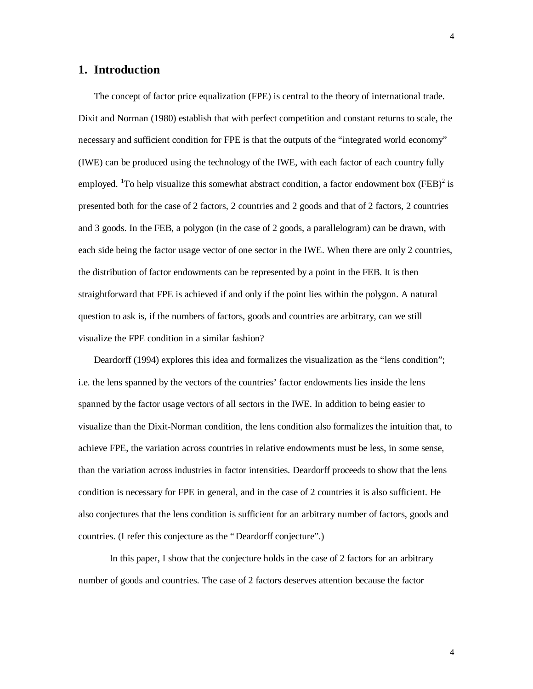### **1. Introduction**

The concept of factor price equalization (FPE) is central to the theory of international trade. Dixit and Norman (1980) establish that with perfect competition and constant returns to scale, the necessary and sufficient condition for FPE is that the outputs of the "integrated world economy" (IWE) can be produced using the technology of the IWE, with each factor of each country fully employed. <sup>1</sup>To help visualize this somewhat abstract condition, a factor endowment box (FEB)<sup>2</sup> is presented both for the case of 2 factors, 2 countries and 2 goods and that of 2 factors, 2 countries and 3 goods. In the FEB, a polygon (in the case of 2 goods, a parallelogram) can be drawn, with each side being the factor usage vector of one sector in the IWE. When there are only 2 countries, the distribution of factor endowments can be represented by a point in the FEB. It is then straightforward that FPE is achieved if and only if the point lies within the polygon. A natural question to ask is, if the numbers of factors, goods and countries are arbitrary, can we still visualize the FPE condition in a similar fashion?

Deardorff (1994) explores this idea and formalizes the visualization as the "lens condition"; i.e. the lens spanned by the vectors of the countries' factor endowments lies inside the lens spanned by the factor usage vectors of all sectors in the IWE. In addition to being easier to visualize than the Dixit-Norman condition, the lens condition also formalizes the intuition that, to achieve FPE, the variation across countries in relative endowments must be less, in some sense, than the variation across industries in factor intensities. Deardorff proceeds to show that the lens condition is necessary for FPE in general, and in the case of 2 countries it is also sufficient. He also conjectures that the lens condition is sufficient for an arbitrary number of factors, goods and countries. (I refer this conjecture as the "Deardorff conjecture".)

In this paper, I show that the conjecture holds in the case of 2 factors for an arbitrary number of goods and countries. The case of 2 factors deserves attention because the factor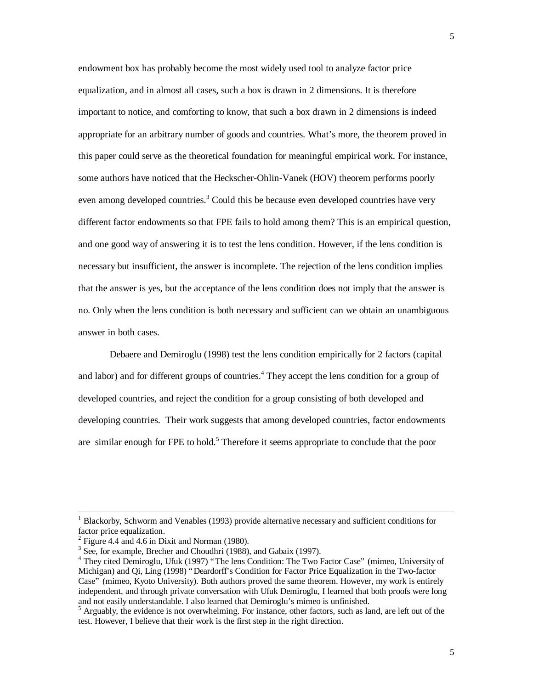endowment box has probably become the most widely used tool to analyze factor price equalization, and in almost all cases, such a box is drawn in 2 dimensions. It is therefore important to notice, and comforting to know, that such a box drawn in 2 dimensions is indeed appropriate for an arbitrary number of goods and countries. What's more, the theorem proved in this paper could serve as the theoretical foundation for meaningful empirical work. For instance, some authors have noticed that the Heckscher-Ohlin-Vanek (HOV) theorem performs poorly even among developed countries.<sup>3</sup> Could this be because even developed countries have very different factor endowments so that FPE fails to hold among them? This is an empirical question, and one good way of answering it is to test the lens condition. However, if the lens condition is necessary but insufficient, the answer is incomplete. The rejection of the lens condition implies that the answer is yes, but the acceptance of the lens condition does not imply that the answer is no. Only when the lens condition is both necessary and sufficient can we obtain an unambiguous answer in both cases.

Debaere and Demiroglu (1998) test the lens condition empirically for 2 factors (capital and labor) and for different groups of countries.<sup>4</sup> They accept the lens condition for a group of developed countries, and reject the condition for a group consisting of both developed and developing countries. Their work suggests that among developed countries, factor endowments are similar enough for FPE to hold.<sup>5</sup> Therefore it seems appropriate to conclude that the poor

-

<sup>1</sup> Blackorby, Schworm and Venables (1993) provide alternative necessary and sufficient conditions for factor price equalization.

 $2$  Figure 4.4 and 4.6 in Dixit and Norman (1980).

<sup>&</sup>lt;sup>3</sup> See, for example, Brecher and Choudhri (1988), and Gabaix (1997).

<sup>&</sup>lt;sup>4</sup> They cited Demiroglu, Ufuk (1997) "The lens Condition: The Two Factor Case" (mimeo, University of Michigan) and Qi, Ling (1998) "Deardorff's Condition for Factor Price Equalization in the Two-factor Case" (mimeo, Kyoto University). Both authors proved the same theorem. However, my work is entirely independent, and through private conversation with Ufuk Demiroglu, I learned that both proofs were long and not easily understandable. I also learned that Demiroglu's mimeo is unfinished.

<sup>&</sup>lt;sup>5</sup> Arguably, the evidence is not overwhelming. For instance, other factors, such as land, are left out of the test. However, I believe that their work is the first step in the right direction.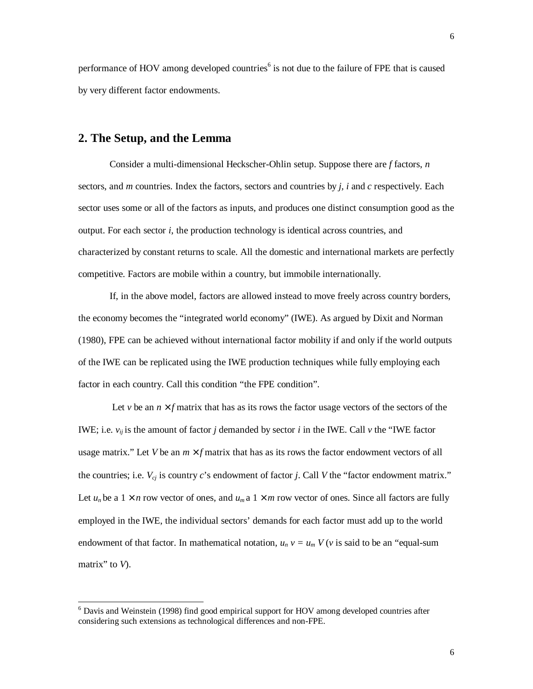performance of HOV among developed countries<sup>6</sup> is not due to the failure of FPE that is caused by very different factor endowments.

### **2. The Setup, and the Lemma**

1

Consider a multi-dimensional Heckscher-Ohlin setup. Suppose there are *f* factors, *n* sectors, and *m* countries. Index the factors, sectors and countries by *j, i* and *c* respectively. Each sector uses some or all of the factors as inputs, and produces one distinct consumption good as the output. For each sector *i*, the production technology is identical across countries, and characterized by constant returns to scale. All the domestic and international markets are perfectly competitive. Factors are mobile within a country, but immobile internationally.

If, in the above model, factors are allowed instead to move freely across country borders, the economy becomes the "integrated world economy" (IWE). As argued by Dixit and Norman (1980), FPE can be achieved without international factor mobility if and only if the world outputs of the IWE can be replicated using the IWE production techniques while fully employing each factor in each country. Call this condition "the FPE condition".

Let *v* be an *n*  $\hat{f}$  matrix that has as its rows the factor usage vectors of the sectors of the IWE; i.e.  $v_{ii}$  is the amount of factor *j* demanded by sector *i* in the IWE. Call  $v$  the "IWE factor" usage matrix." Let *V* be an *m ´ f* matrix that has as its rows the factor endowment vectors of all the countries; i.e.  $V_{cj}$  is country *c*'s endowment of factor *j*. Call *V* the "factor endowment matrix." Let  $u_n$  be a  $1 \times n$  row vector of ones, and  $u_m$  a  $1 \times m$  row vector of ones. Since all factors are fully employed in the IWE, the individual sectors' demands for each factor must add up to the world endowment of that factor. In mathematical notation,  $u_n v = u_m V(v$  is said to be an "equal-sum matrix" to *V*).

<sup>&</sup>lt;sup>6</sup> Davis and Weinstein (1998) find good empirical support for HOV among developed countries after considering such extensions as technological differences and non-FPE.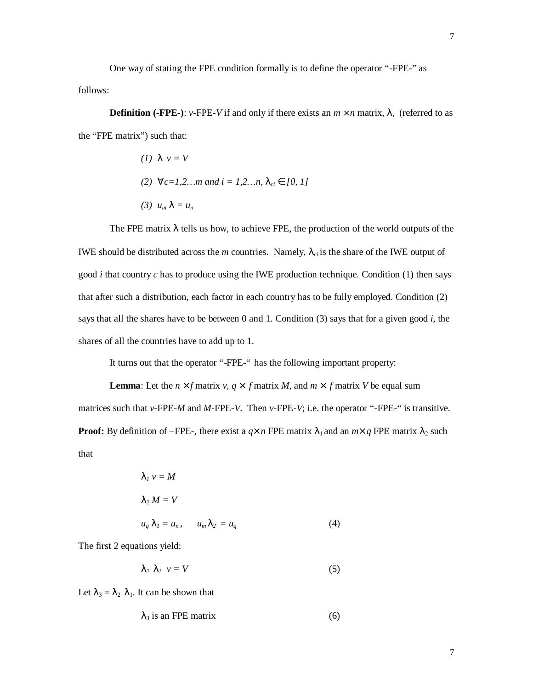One way of stating the FPE condition formally is to define the operator "-FPE-" as follows:

**Definition (-FPE-)**: *v*-FPE-*V* if and only if there exists an *m ´n* matrix, *l,* (referred to as the "FPE matrix") such that:

\n- (1) 
$$
1 \, v = V
$$
\n- (2) "  $c = 1, 2, \ldots m$  and  $i = 1, 2, \ldots n$ ,  $I_{ci} \mathbf{\hat{I}} \, [0, 1]$
\n- (3)  $u_m \mathbf{I} = u_n$
\n

The FPE matrix *l* tells us how, to achieve FPE, the production of the world outputs of the IWE should be distributed across the *m* countries. Namely,  $I_{ci}$  is the share of the IWE output of good *i* that country *c* has to produce using the IWE production technique. Condition (1) then says that after such a distribution, each factor in each country has to be fully employed. Condition (2) says that all the shares have to be between 0 and 1. Condition (3) says that for a given good *i*, the shares of all the countries have to add up to 1.

It turns out that the operator "-FPE-" has the following important property:

**Lemma**: Let the *n*  $\hat{ }$  *f* matrix *v, q*  $\hat{}$  *f* matrix *M*, and *m*  $\hat{}$  *f* matrix *V* be equal sum matrices such that *v*-FPE-*M* and *M*-FPE*-V*. Then *v*-FPE-*V*; i.e. the operator "-FPE-" is transitive. **Proof:** By definition of –FPE-, there exist a  $q \hat{i}$  n FPE matrix  $\lambda_1$  and an  $m \hat{i}$  q FPE matrix  $\lambda_2$  such that

$$
\mathbf{1}_1 v = M
$$
  
\n
$$
\mathbf{1}_2 M = V
$$
  
\n
$$
u_q \mathbf{1}_1 = u_n, \quad u_m \mathbf{1}_2 = u_q
$$
\n(4)

The first 2 equations yield:

$$
I_2 \tI_1 \tV = V \t\t(5)
$$

Let  $\lambda_3 = \lambda_2 \lambda_1$ . It can be shown that

$$
\lambda_3 \text{ is an FPE matrix} \tag{6}
$$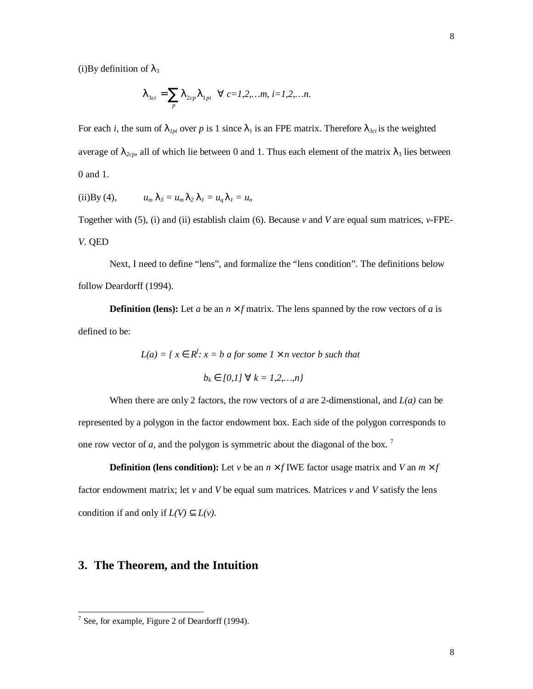(i)By definition of  $\lambda_3$ 

$$
\boldsymbol{I}_{3ci} = \sum_{p} \boldsymbol{I}_{2cp} \boldsymbol{I}_{1pi} \quad "c=1,2,...m, i=1,2,...n.
$$

For each *i*, the sum of  $I_{1pi}$  over p is 1 since  $\lambda_1$  is an FPE matrix. Therefore  $I_{3ci}$  is the weighted average of  $I_{2cp}$ , all of which lie between 0 and 1. Thus each element of the matrix  $\lambda_3$  lies between 0 and 1.

(ii)By (4), 
$$
u_m I_3 = u_m I_2 I_1 = u_q I_1 = u_n
$$

Together with (5), (i) and (ii) establish claim (6). Because *v* and *V* are equal sum matrices, *v*-FPE-*V*. QED

Next, I need to define "lens", and formalize the "lens condition". The definitions below follow Deardorff (1994).

**Definition (lens):** Let *a* be an *n*  $\hat{ }$  *f* matrix. The lens spanned by the row vectors of *a* is defined to be:

> $L(a) = \{ x \hat{\mathbf{I}} \hat{\mathbf{R}}^f : x = b \hat{\mathbf{a}} \text{ for some } 1 \text{ and } 1 \text{ for } b \text{ such that }$  $b_k \hat{\mathbf{I}}$  [0,1]  $^{\prime\prime}$   $k = 1, 2, ..., n$ }

When there are only 2 factors, the row vectors of *a* are 2-dimenstional, and *L(a)* can be represented by a polygon in the factor endowment box. Each side of the polygon corresponds to one row vector of *a,* and the polygon is symmetric about the diagonal of the box. <sup>7</sup>

**Definition (lens condition):** Let *v* be an *n*  $\hat{f}$  **IWE** factor usage matrix and *V* an  $m \times f$ factor endowment matrix; let *v* and *V* be equal sum matrices. Matrices *v* and *V* satisfy the lens condition if and only if  $L(V)$   $\tilde{I}$   $L(v)$ .

### **3. The Theorem, and the Intuition**

<sup>&</sup>lt;sup>7</sup> See, for example, Figure 2 of Deardorff (1994).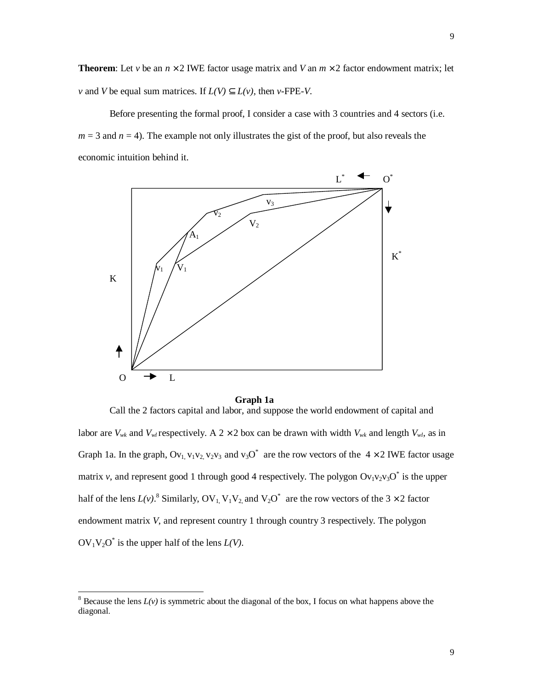**Theorem:** Let *v* be an *n* <sup> $\hat{ }$ </sup> 2 IWE factor usage matrix and *V* an  $m \times 2$  factor endowment matrix; let *v* and *V* be equal sum matrices. If  $L(V)$   $\tilde{I}$   $L(v)$ , then *v*-FPE-*V*.

Before presenting the formal proof, I consider a case with 3 countries and 4 sectors (i.e.  $m = 3$  and  $n = 4$ ). The example not only illustrates the gist of the proof, but also reveals the economic intuition behind it.



#### **Graph 1a**

Call the 2 factors capital and labor, and suppose the world endowment of capital and labor are  $V_{wk}$  and  $V_{wl}$  respectively. A 2 × 2 box can be drawn with width  $V_{wk}$  and length  $V_{wk}$ , as in Graph 1a. In the graph,  $Ov_1$ ,  $v_1v_2$ ,  $v_2v_3$  and  $v_3O^*$  are the row vectors of the 4  $\times$  2 IWE factor usage matrix *v*, and represent good 1 through good 4 respectively. The polygon  $Ov_1v_2v_3O^*$  is the upper half of the lens  $L(v)$ .<sup>8</sup> Similarly, OV<sub>1</sub>, V<sub>1</sub>V<sub>2</sub>, and V<sub>2</sub>O<sup>\*</sup> are the row vectors of the 3 × 2 factor endowment matrix *V*, and represent country 1 through country 3 respectively. The polygon  $OV_1V_2O^*$  is the upper half of the lens  $L(V)$ .

-

<sup>&</sup>lt;sup>8</sup> Because the lens  $L(v)$  is symmetric about the diagonal of the box, I focus on what happens above the diagonal.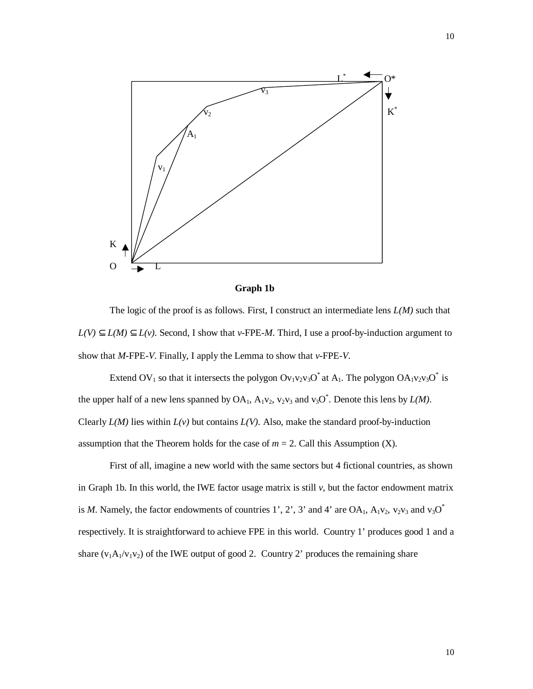



The logic of the proof is as follows. First, I construct an intermediate lens  $L(M)$  such that *L(V)*  $\hat{I}$  *L(M)*  $\hat{I}$  *L(v)*. Second, I show that *v*-FPE-*M*. Third, I use a proof-by-induction argument to show that *M*-FPE-*V*. Finally, I apply the Lemma to show that *v*-FPE-*V*.

Extend OV<sub>1</sub> so that it intersects the polygon Ov<sub>1</sub>v<sub>2</sub>v<sub>3</sub>O<sup>\*</sup> at A<sub>1</sub>. The polygon OA<sub>1</sub>v<sub>2</sub>v<sub>3</sub>O<sup>\*</sup> is the upper half of a new lens spanned by  $OA_1$ ,  $A_1v_2$ ,  $v_2v_3$  and  $v_3O^*$ . Denote this lens by  $L(M)$ . Clearly  $L(M)$  lies within  $L(v)$  but contains  $L(V)$ . Also, make the standard proof-by-induction assumption that the Theorem holds for the case of  $m = 2$ . Call this Assumption (X).

First of all, imagine a new world with the same sectors but 4 fictional countries, as shown in Graph 1b. In this world, the IWE factor usage matrix is still  $v$ , but the factor endowment matrix is *M*. Namely, the factor endowments of countries 1', 2', 3' and 4' are OA<sub>1</sub>, A<sub>1</sub>v<sub>2</sub>, v<sub>2</sub>v<sub>3</sub> and v<sub>3</sub>O<sup>\*</sup> respectively. It is straightforward to achieve FPE in this world. Country 1' produces good 1 and a share  $(v_1A_1/v_1v_2)$  of the IWE output of good 2. Country 2' produces the remaining share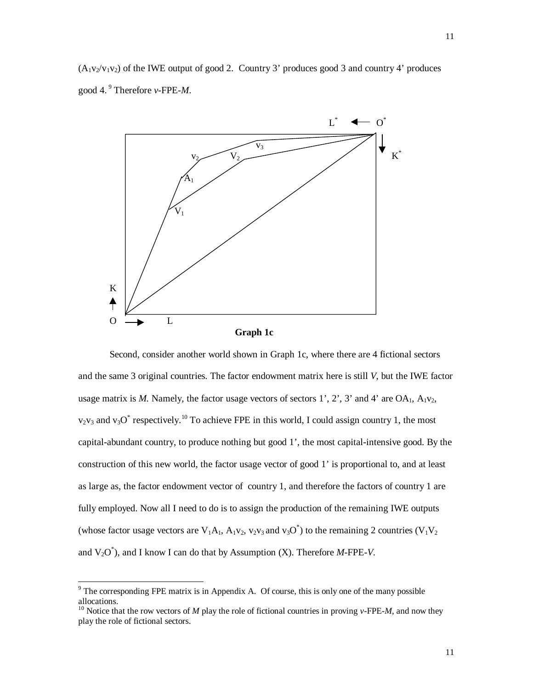$(A_1v_2/v_1v_2)$  of the IWE output of good 2. Country 3' produces good 3 and country 4' produces good 4. <sup>9</sup> Therefore *v*-FPE-*M*.



Second, consider another world shown in Graph 1c, where there are 4 fictional sectors and the same 3 original countries. The factor endowment matrix here is still *V*, but the IWE factor usage matrix is *M*. Namely, the factor usage vectors of sectors 1', 2', 3' and 4' are  $OA_1$ ,  $A_1v_2$ ,  $v_2v_3$  and  $v_3O^*$  respectively.<sup>10</sup> To achieve FPE in this world, I could assign country 1, the most capital-abundant country, to produce nothing but good 1', the most capital-intensive good. By the construction of this new world, the factor usage vector of good 1' is proportional to, and at least as large as, the factor endowment vector of country 1, and therefore the factors of country 1 are fully employed. Now all I need to do is to assign the production of the remaining IWE outputs (whose factor usage vectors are  $V_1A_1$ ,  $A_1v_2$ ,  $v_2v_3$  and  $v_3O^*$ ) to the remaining 2 countries ( $V_1V_2$ and  $V_2O^*$ ), and I know I can do that by Assumption (X). Therefore  $M$ -FPE-V.

The corresponding FPE matrix is in Appendix A. Of course, this is only one of the many possible allocations.

<sup>10</sup> Notice that the row vectors of *M* play the role of fictional countries in proving *v*-FPE-*M*, and now they play the role of fictional sectors.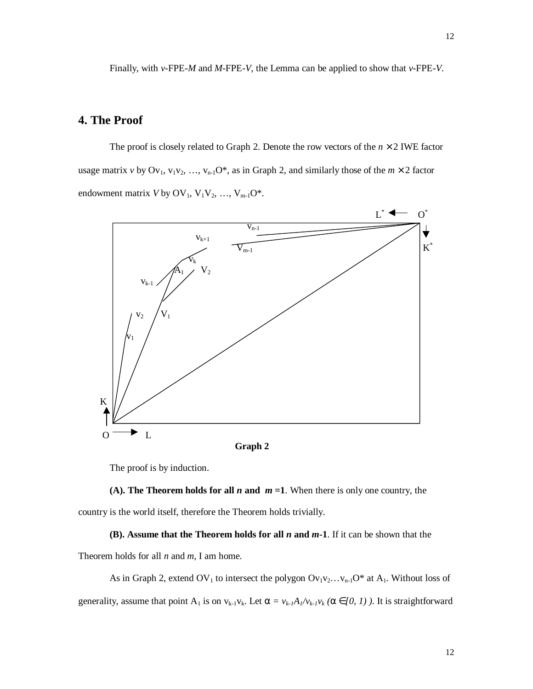Finally, with *v*-FPE-*M* and *M-*FPE*-V*, the Lemma can be applied to show that *v-*FPE*-V*.

## **4. The Proof**

The proof is closely related to Graph 2. Denote the row vectors of the  $n \times 2$  IWE factor usage matrix *v* by  $Ov_1$ ,  $v_1v_2$ , ...,  $v_{n-1}O^*$ , as in Graph 2, and similarly those of the  $m \times 2$  factor endowment matrix  $V$  by  $OV_1$ ,  $V_1V_2$ , ...,  $V_{m-1}O^*$ .



The proof is by induction.



#### **(B). Assume that the Theorem holds for all** *n* **and** *m***-1**. If it can be shown that the

Theorem holds for all *n* and *m*, I am home.

As in Graph 2, extend OV<sub>1</sub> to intersect the polygon  $Ov_1v_2...v_{n-1}O^*$  at  $A_1$ . Without loss of generality, assume that point  $A_1$  is on  $v_{k-1}v_k$ . Let  $\boldsymbol{a} = v_{k-1}A_1/v_{k-1}v_k$  ( $\boldsymbol{a} \hat{\boldsymbol{I}}(0, 1)$ ). It is straightforward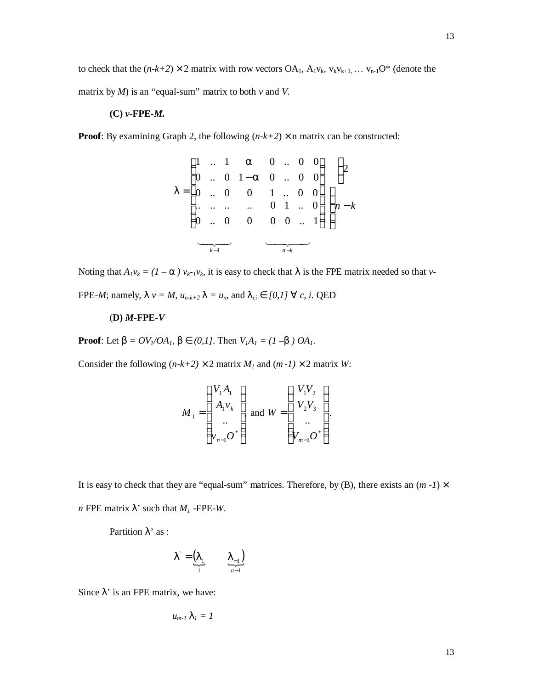to check that the  $(n-k+2) \times 2$  matrix with row vectors OA<sub>1</sub>, A<sub>1</sub>v<sub>k</sub>, v<sub>k</sub>v<sub>k+1</sub>, ... v<sub>n-1</sub>O<sup>\*</sup> (denote the matrix by  $M$ ) is an "equal-sum" matrix to both  $v$  and  $V$ .

#### **(C)** *v***-FPE-***M.*

**Proof:** By examining Graph 2, the following  $(n-k+2) \times n$  matrix can be constructed:

14 243 14 243 *k n k n k* − − − − = 2 0 0 .. 1 0 1 .. 0 0 .. .. 0 .. .. 0 .. 0 .. 0 0 1 .. 0 0 0 .. 0 1 0 .. 0 0 1 .. 1 0 .. 0 0 1 *a a l*

Noting that  $A_I v_k = (I - a) v_{k_I} v_k$ , it is easy to check that  $\lambda$  is the FPE matrix needed so that *v*-

FPE-*M*; namely,  $I v = M$ ,  $u_{n-k+2} I = u_n$ , and  $I_{ci} \hat{I} [0,1]'' c$ , *i*. QED

#### (**D)** *M***-FPE-***V*

**Proof**: Let  $\mathbf{b} = O(V_1/OA_1, \mathbf{b}) \mathbf{\hat{I}}$  (0,1]. Then  $V_1A_1 = (1 - \mathbf{b}) OA_1$ .

Consider the following  $(n-k+2) \times 2$  matrix *M<sub>1</sub>* and  $(m-1) \times 2$  matrix *W*:

$$
M_{1} = \begin{pmatrix} V_{1}A_{1} \\ A_{1}v_{k} \\ \dots \\ V_{n-1}O^{*} \end{pmatrix} \text{ and } W = \begin{pmatrix} V_{1}V_{2} \\ V_{2}V_{3} \\ \dots \\ V_{m-1}O^{*} \end{pmatrix}.
$$

It is easy to check that they are "equal-sum" matrices. Therefore, by (B), there exists an  $(m -1) \times$ *n* FPE matrix  $\lambda$ ' such that  $M_1$ -FPE-*W*.

Partition  $\lambda$ ' as :

$$
I' = \underbrace{\begin{pmatrix} I_1 & I_{-1} \end{pmatrix}}_{1}
$$

Since  $\lambda$ ' is an FPE matrix, we have:

$$
u_{m-1} \mathbf{1}_I = I
$$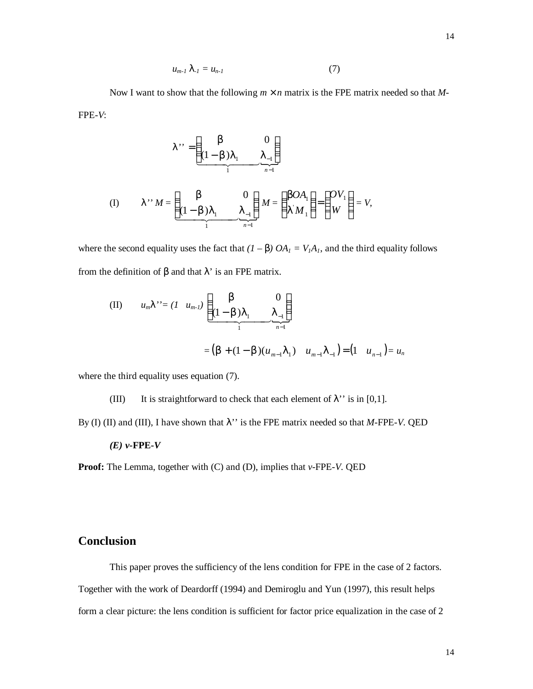$$
u_{m-1} I_{-1} = u_{n-1} \tag{7}
$$

Now I want to show that the following  $m \hat{i}$  n matrix is the FPE matrix needed so that M-FPE-*V*:

$$
I^{\prime\prime} = \underbrace{\begin{pmatrix} \mathbf{b} & 0 \\ (1 - \mathbf{b})\mathbf{I}_1 & \mathbf{I}_{-1} \end{pmatrix}}_{\mathbf{f}} \mathbf{M} = \underbrace{\begin{pmatrix} \mathbf{b} & 0 \\ (1 - \mathbf{b})\mathbf{I}_1 & \mathbf{I}_{-1} \end{pmatrix}}_{\mathbf{h} = \mathbf{h}} \mathbf{M} = \begin{pmatrix} \mathbf{b}O\mathbf{A}_1 \\ \mathbf{I}'\mathbf{M}_1 \end{pmatrix} = \begin{pmatrix} \mathbf{0}V_1 \\ W \end{pmatrix} = V,
$$

where the second equality uses the fact that  $(I - \mathbf{b})$   $OA_I = V_I A_I$ , and the third equality follows from the definition of β and that λ' is an FPE matrix.

(II) 
$$
u_m I' = (I \ u_{m-l}) \underbrace{\begin{pmatrix} \mathbf{b} & 0 \\ (1-\mathbf{b})I_1 & I_{-1} \end{pmatrix}}_{1}
$$
  
=  $(\mathbf{b} + (1-\mathbf{b})(u_{m-1}I_1) \ u_{m-1}I_{-1}) = (1 \ u_{n-1}) = u_n$ 

where the third equality uses equation (7).

(III) It is straightforward to check that each element of  $\lambda$ <sup>'</sup> is in [0,1].

By (I) (II) and (III), I have shown that λ'' is the FPE matrix needed so that *M*-FPE-*V*. QED

$$
(E) v\text{-} \mathrm{FPE-V}
$$

**Proof:** The Lemma, together with (C) and (D), implies that *v-*FPE-*V*. QED

## **Conclusion**

This paper proves the sufficiency of the lens condition for FPE in the case of 2 factors. Together with the work of Deardorff (1994) and Demiroglu and Yun (1997), this result helps form a clear picture: the lens condition is sufficient for factor price equalization in the case of 2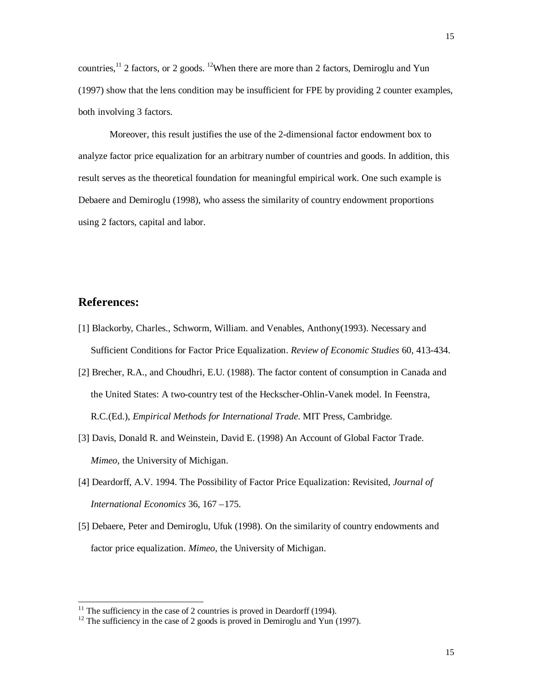countries,<sup>11</sup> 2 factors, or 2 goods. <sup>12</sup>When there are more than 2 factors, Demiroglu and Yun (1997) show that the lens condition may be insufficient for FPE by providing 2 counter examples, both involving 3 factors.

Moreover, this result justifies the use of the 2-dimensional factor endowment box to analyze factor price equalization for an arbitrary number of countries and goods. In addition, this result serves as the theoretical foundation for meaningful empirical work. One such example is Debaere and Demiroglu (1998), who assess the similarity of country endowment proportions using 2 factors, capital and labor.

### **References:**

l

- [1] Blackorby, Charles., Schworm, William. and Venables, Anthony(1993). Necessary and Sufficient Conditions for Factor Price Equalization. *Review of Economic Studies* 60, 413-434.
- [2] Brecher, R.A., and Choudhri, E.U. (1988). The factor content of consumption in Canada and the United States: A two-country test of the Heckscher-Ohlin-Vanek model. In Feenstra, R.C.(Ed.), *Empirical Methods for International Trade*. MIT Press, Cambridge.
- [3] Davis, Donald R. and Weinstein, David E. (1998) An Account of Global Factor Trade. *Mimeo*, the University of Michigan.
- [4] Deardorff, A.V. 1994. The Possibility of Factor Price Equalization: Revisited, *Journal of International Economics* 36, 167 –175.
- [5] Debaere, Peter and Demiroglu, Ufuk (1998). On the similarity of country endowments and factor price equalization. *Mimeo*, the University of Michigan.

 $11$  The sufficiency in the case of 2 countries is proved in Deardorff (1994).

 $12$  The sufficiency in the case of 2 goods is proved in Demiroglu and Yun (1997).